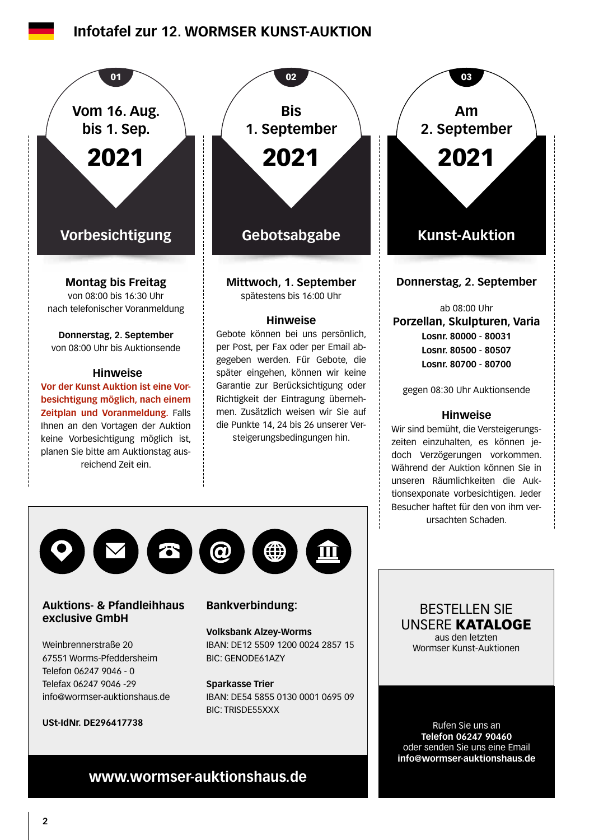# **Infotafel zur 12. WORMSER KUNST-AUKTION**





### **Auktions- & Pfandleihhaus exclusive GmbH**

Weinbrennerstraße 20 67551 Worms-Pfeddersheim Telefon 06247 9046 - 0 Telefax 06247 9046 -29 info@wormser-auktionshaus.de

**USt-IdNr. DE296417738**

### **Bankverbindung:**

**Volksbank Alzey-Worms** IBAN: DE12 5509 1200 0024 2857 15 BIC: GENODE61AZY

### **Sparkasse Trier** IBAN: DE54 5855 0130 0001 0695 09 BIC: TRISDE55XXX

BESTELLEN SIE UNSERE KATALOGE aus den letzten Wormser Kunst-Auktionen

Rufen Sie uns an **Telefon 06247 90460** oder senden Sie uns eine Email **info@wormser-auktionshaus.de**

# **www.wormser-auktionshaus.de**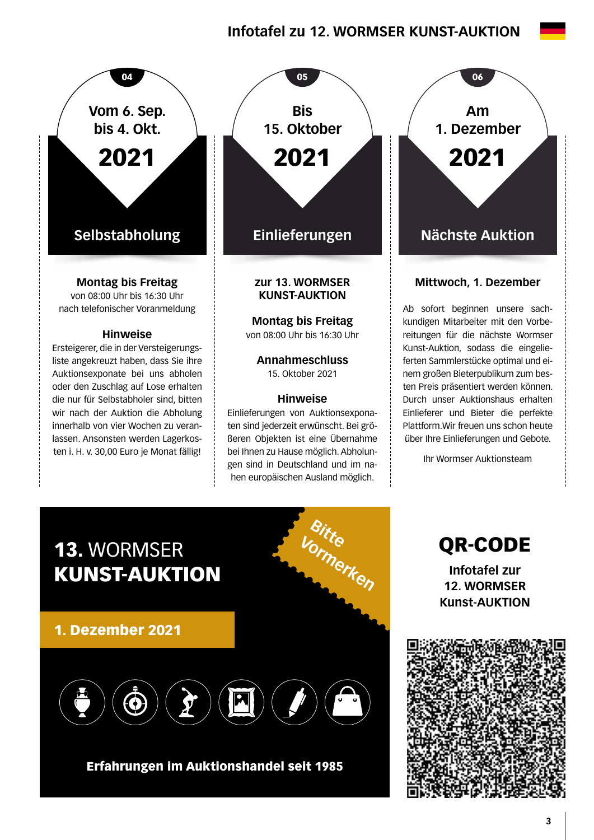# **Infotafel zu 12. WORMSER KUNST-AUKTION**





**Montag bis Freitag**  von 08:00 Uhr bis 16:30 Uhr

**Annahmeschluss**  15. Oktober 2021

### **Hinweise**

Einlieferungen von Auktionsexponaten sind jederzeit erwünscht. Bei größeren Objekten ist eine Übernahme bei Ihnen zu Hause möglich. Abholungen sind in Deutschland und im nahen europäischen Ausland möglich.

**Bitte**

**Vormerken**

**Am 1. Dezember** 2021

### **Mittwoch, 1. Dezember**

Ab sofort beginnen unsere sachkundigen Mitarbeiter mit den Vorbereitungen für die nächste Wormser Kunst-Auktion, sodass die eingelieferten Sammlerstücke optimal und einem großen Bieterpublikum zum besten Preis präsentiert werden können. Durch unser Auktionshaus erhalten Einlieferer und Bieter die perfekte Plattform.Wir freuen uns schon heute über Ihre Einlieferungen und Gebote.

Ihr Wormser Auktionsteam



ten i. H. v. 30,00 Euro je Monat fällig!

1. Dezember 2021



## Erfahrungen im Auktionshandel seit 1985

QR-CODE **Infotafel zur 12. WORMSER Kunst-AUKTION**

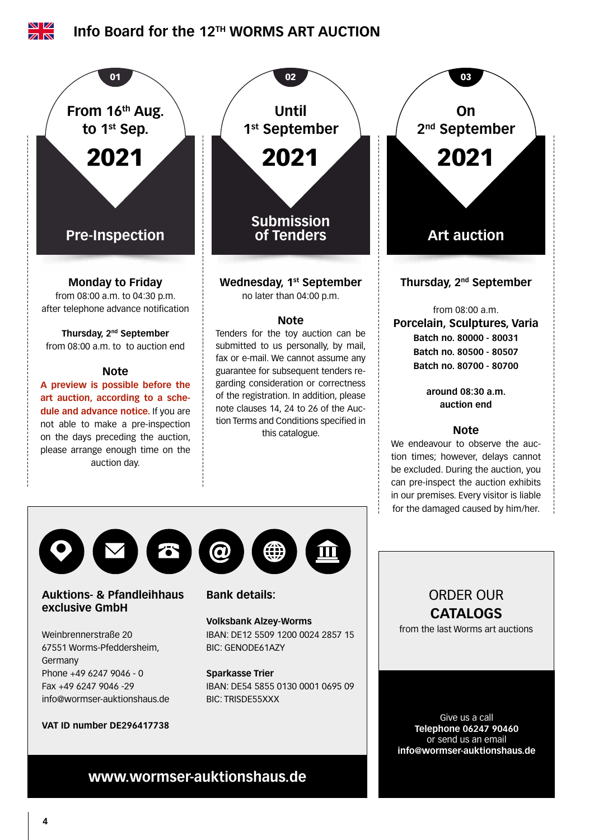





### **Auktions- & Pfandleihhaus exclusive GmbH**

Weinbrennerstraße 20 67551 Worms-Pfeddersheim, Germany Phone +49 6247 9046 - 0 Fax +49 6247 9046 -29 info@wormser-auktionshaus.de

### **VAT ID number DE296417738**

# $\bm{\varpi}$

### **Bank details:**

### **Volksbank Alzey-Worms** IBAN: DE12 5509 1200 0024 2857 15

BIC: GENODE61AZY

### **Sparkasse Trier**

IBAN: DE54 5855 0130 0001 0695 09 BIC: TRISDE55XXX

# ORDER OUR **CATALOGS**

from the last Worms art auctions

Give us a call **Telephone 06247 90460** or send us an email **info@wormser-auktionshaus.de**

# **www.wormser-auktionshaus.de**